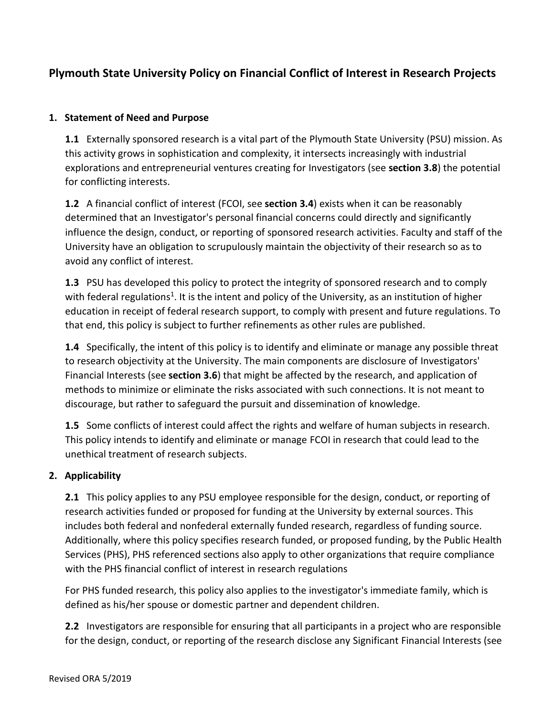# **Plymouth State University Policy on Financial Conflict of Interest in Research Projects**

#### **1. Statement of Need and Purpose**

**1.1** Externally sponsored research is a vital part of the Plymouth State University (PSU) mission. As this activity grows in sophistication and complexity, it intersects increasingly with industrial explorations and entrepreneurial ventures creating for Investigators (see **section 3.8**) the potential for conflicting interests.

**1.2** A financial conflict of interest (FCOI, see **section 3.4**) exists when it can be reasonably determined that an Investigator's personal financial concerns could directly and significantly influence the design, conduct, or reporting of sponsored research activities. Faculty and staff of the University have an obligation to scrupulously maintain the objectivity of their research so as to avoid any conflict of interest.

**1.3** PSU has developed this policy to protect the integrity of sponsored research and to comply with federal regulations<sup>1</sup>. It is the intent and policy of the University, as an institution of higher education in receipt of federal research support, to comply with present and future regulations. To that end, this policy is subject to further refinements as other rules are published.

**1.4** Specifically, the intent of this policy is to identify and eliminate or manage any possible threat to research objectivity at the University. The main components are disclosure of Investigators' Financial Interests (see **section 3.6**) that might be affected by the research, and application of methods to minimize or eliminate the risks associated with such connections. It is not meant to discourage, but rather to safeguard the pursuit and dissemination of knowledge.

**1.5** Some conflicts of interest could affect the rights and welfare of human subjects in research. This policy intends to identify and eliminate or manage FCOI in research that could lead to the unethical treatment of research subjects.

# **2. Applicability**

**2.1** This policy applies to any PSU employee responsible for the design, conduct, or reporting of research activities funded or proposed for funding at the University by external sources. This includes both federal and nonfederal externally funded research, regardless of funding source. Additionally, where this policy specifies research funded, or proposed funding, by the Public Health Services (PHS), PHS referenced sections also apply to other organizations that require compliance with the PHS financial conflict of interest in research regulations

For PHS funded research, this policy also applies to the investigator's immediate family, which is defined as his/her spouse or domestic partner and dependent children.

**2.2** Investigators are responsible for ensuring that all participants in a project who are responsible for the design, conduct, or reporting of the research disclose any Significant Financial Interests (see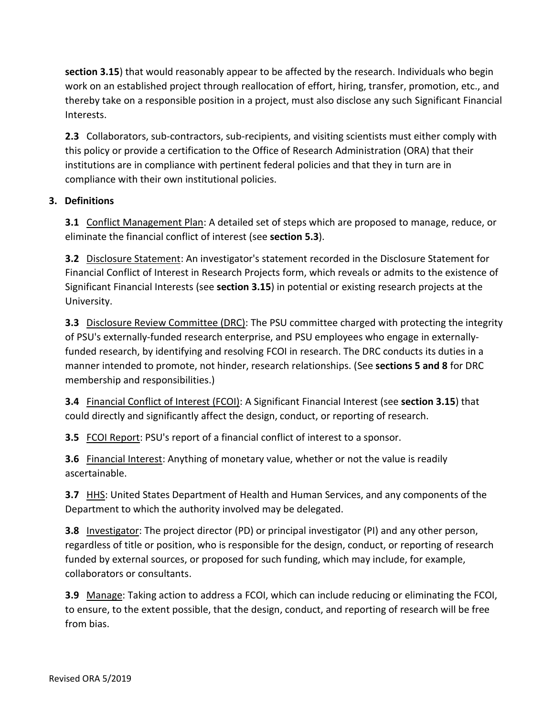**section 3.15**) that would reasonably appear to be affected by the research. Individuals who begin work on an established project through reallocation of effort, hiring, transfer, promotion, etc., and thereby take on a responsible position in a project, must also disclose any such Significant Financial Interests.

**2.3** Collaborators, sub-contractors, sub-recipients, and visiting scientists must either comply with this policy or provide a certification to the Office of Research Administration (ORA) that their institutions are in compliance with pertinent federal policies and that they in turn are in compliance with their own institutional policies.

# **3. Definitions**

**3.1** Conflict Management Plan: A detailed set of steps which are proposed to manage, reduce, or eliminate the financial conflict of interest (see **section 5.3**).

**3.2** Disclosure Statement: An investigator's statement recorded in the Disclosure Statement for Financial Conflict of Interest in Research Projects form, which reveals or admits to the existence of Significant Financial Interests (see **section 3.15**) in potential or existing research projects at the University.

**3.3** Disclosure Review Committee (DRC): The PSU committee charged with protecting the integrity of PSU's externally-funded research enterprise, and PSU employees who engage in externallyfunded research, by identifying and resolving FCOI in research. The DRC conducts its duties in a manner intended to promote, not hinder, research relationships. (See **sections 5 and 8** for DRC membership and responsibilities.)

**3.4** Financial Conflict of Interest (FCOI): A Significant Financial Interest (see **section 3.15**) that could directly and significantly affect the design, conduct, or reporting of research.

**3.5** FCOI Report: PSU's report of a financial conflict of interest to a sponsor.

**3.6** Financial Interest: Anything of monetary value, whether or not the value is readily ascertainable.

**3.7** HHS: United States Department of Health and Human Services, and any components of the Department to which the authority involved may be delegated.

**3.8** Investigator: The project director (PD) or principal investigator (PI) and any other person, regardless of title or position, who is responsible for the design, conduct, or reporting of research funded by external sources, or proposed for such funding, which may include, for example, collaborators or consultants.

**3.9** Manage: Taking action to address a FCOI, which can include reducing or eliminating the FCOI, to ensure, to the extent possible, that the design, conduct, and reporting of research will be free from bias.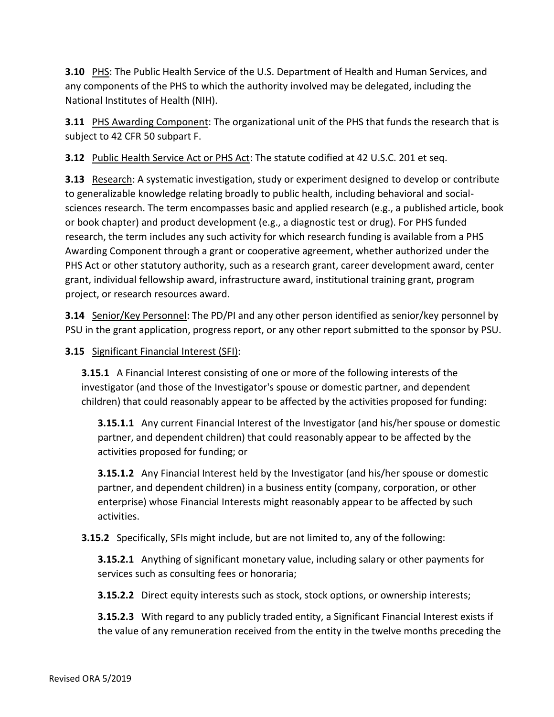**3.10** PHS: The Public Health Service of the U.S. Department of Health and Human Services, and any components of the PHS to which the authority involved may be delegated, including the National Institutes of Health (NIH).

**3.11** PHS Awarding Component: The organizational unit of the PHS that funds the research that is subject to 42 CFR 50 subpart F.

**3.12** Public Health Service Act or PHS Act: The statute codified at 42 U.S.C. 201 et seq.

**3.13** Research: A systematic investigation, study or experiment designed to develop or contribute to generalizable knowledge relating broadly to public health, including behavioral and socialsciences research. The term encompasses basic and applied research (e.g., a published article, book or book chapter) and product development (e.g., a diagnostic test or drug). For PHS funded research, the term includes any such activity for which research funding is available from a PHS Awarding Component through a grant or cooperative agreement, whether authorized under the PHS Act or other statutory authority, such as a research grant, career development award, center grant, individual fellowship award, infrastructure award, institutional training grant, program project, or research resources award.

**3.14** Senior/Key Personnel: The PD/PI and any other person identified as senior/key personnel by PSU in the grant application, progress report, or any other report submitted to the sponsor by PSU.

# **3.15** Significant Financial Interest (SFI):

**3.15.1** A Financial Interest consisting of one or more of the following interests of the investigator (and those of the Investigator's spouse or domestic partner, and dependent children) that could reasonably appear to be affected by the activities proposed for funding:

**3.15.1.1** Any current Financial Interest of the Investigator (and his/her spouse or domestic partner, and dependent children) that could reasonably appear to be affected by the activities proposed for funding; or

**3.15.1.2** Any Financial Interest held by the Investigator (and his/her spouse or domestic partner, and dependent children) in a business entity (company, corporation, or other enterprise) whose Financial Interests might reasonably appear to be affected by such activities.

**3.15.2** Specifically, SFIs might include, but are not limited to, any of the following:

**3.15.2.1** Anything of significant monetary value, including salary or other payments for services such as consulting fees or honoraria;

**3.15.2.2** Direct equity interests such as stock, stock options, or ownership interests;

**3.15.2.3** With regard to any publicly traded entity, a Significant Financial Interest exists if the value of any remuneration received from the entity in the twelve months preceding the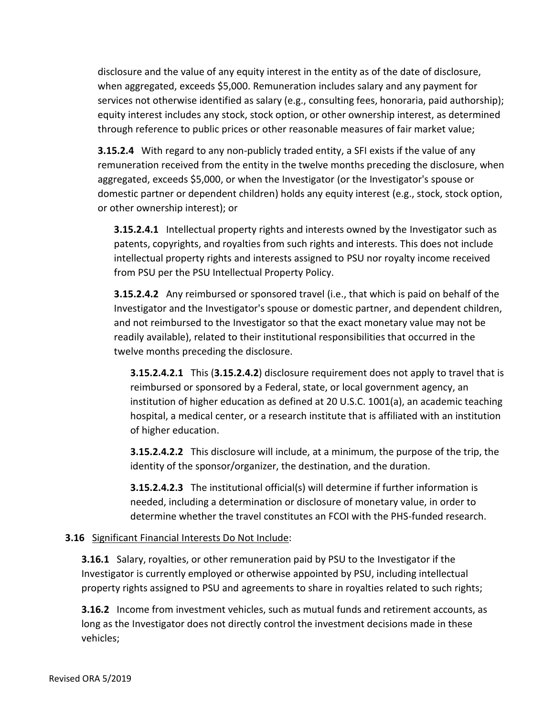disclosure and the value of any equity interest in the entity as of the date of disclosure, when aggregated, exceeds \$5,000. Remuneration includes salary and any payment for services not otherwise identified as salary (e.g., consulting fees, honoraria, paid authorship); equity interest includes any stock, stock option, or other ownership interest, as determined through reference to public prices or other reasonable measures of fair market value;

**3.15.2.4** With regard to any non-publicly traded entity, a SFI exists if the value of any remuneration received from the entity in the twelve months preceding the disclosure, when aggregated, exceeds \$5,000, or when the Investigator (or the Investigator's spouse or domestic partner or dependent children) holds any equity interest (e.g., stock, stock option, or other ownership interest); or

**3.15.2.4.1** Intellectual property rights and interests owned by the Investigator such as patents, copyrights, and royalties from such rights and interests. This does not include intellectual property rights and interests assigned to PSU nor royalty income received from PSU per the PSU Intellectual Property Policy.

**3.15.2.4.2** Any reimbursed or sponsored travel (i.e., that which is paid on behalf of the Investigator and the Investigator's spouse or domestic partner, and dependent children, and not reimbursed to the Investigator so that the exact monetary value may not be readily available), related to their institutional responsibilities that occurred in the twelve months preceding the disclosure.

**3.15.2.4.2.1** This (**3.15.2.4.2**) disclosure requirement does not apply to travel that is reimbursed or sponsored by a Federal, state, or local government agency, an institution of higher education as defined at 20 U.S.C. 1001(a), an academic teaching hospital, a medical center, or a research institute that is affiliated with an institution of higher education.

**3.15.2.4.2.2** This disclosure will include, at a minimum, the purpose of the trip, the identity of the sponsor/organizer, the destination, and the duration.

**3.15.2.4.2.3** The institutional official(s) will determine if further information is needed, including a determination or disclosure of monetary value, in order to determine whether the travel constitutes an FCOI with the PHS-funded research.

#### **3.16** Significant Financial Interests Do Not Include:

**3.16.1** Salary, royalties, or other remuneration paid by PSU to the Investigator if the Investigator is currently employed or otherwise appointed by PSU, including intellectual property rights assigned to PSU and agreements to share in royalties related to such rights;

**3.16.2** Income from investment vehicles, such as mutual funds and retirement accounts, as long as the Investigator does not directly control the investment decisions made in these vehicles;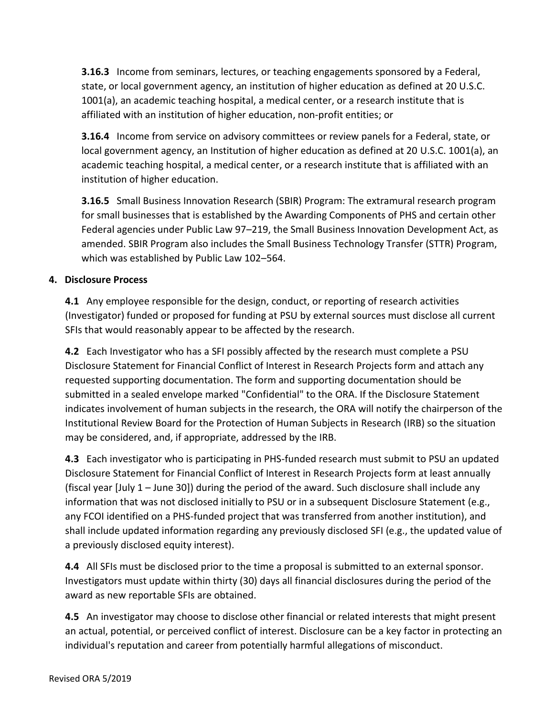**3.16.3** Income from seminars, lectures, or teaching engagements sponsored by a Federal, state, or local government agency, an institution of higher education as defined at 20 U.S.C. 1001(a), an academic teaching hospital, a medical center, or a research institute that is affiliated with an institution of higher education, non-profit entities; or

**3.16.4** Income from service on advisory committees or review panels for a Federal, state, or local government agency, an Institution of higher education as defined at 20 U.S.C. 1001(a), an academic teaching hospital, a medical center, or a research institute that is affiliated with an institution of higher education.

**3.16.5** Small Business Innovation Research (SBIR) Program: The extramural research program for small businesses that is established by the Awarding Components of PHS and certain other Federal agencies under Public Law 97–219, the Small Business Innovation Development Act, as amended. SBIR Program also includes the Small Business Technology Transfer (STTR) Program, which was established by Public Law 102–564.

# **4. Disclosure Process**

**4.1** Any employee responsible for the design, conduct, or reporting of research activities (Investigator) funded or proposed for funding at PSU by external sources must disclose all current SFIs that would reasonably appear to be affected by the research.

**4.2** Each Investigator who has a SFI possibly affected by the research must complete a PSU Disclosure Statement for Financial Conflict of Interest in Research Projects form and attach any requested supporting documentation. The form and supporting documentation should be submitted in a sealed envelope marked "Confidential" to the ORA. If the Disclosure Statement indicates involvement of human subjects in the research, the ORA will notify the chairperson of the Institutional Review Board for the Protection of Human Subjects in Research (IRB) so the situation may be considered, and, if appropriate, addressed by the IRB.

**4.3** Each investigator who is participating in PHS-funded research must submit to PSU an updated Disclosure Statement for Financial Conflict of Interest in Research Projects form at least annually (fiscal year [July 1 – June 30]) during the period of the award. Such disclosure shall include any information that was not disclosed initially to PSU or in a subsequent Disclosure Statement (e.g., any FCOI identified on a PHS-funded project that was transferred from another institution), and shall include updated information regarding any previously disclosed SFI (e.g., the updated value of a previously disclosed equity interest).

**4.4** All SFIs must be disclosed prior to the time a proposal is submitted to an external sponsor. Investigators must update within thirty (30) days all financial disclosures during the period of the award as new reportable SFIs are obtained.

**4.5** An investigator may choose to disclose other financial or related interests that might present an actual, potential, or perceived conflict of interest. Disclosure can be a key factor in protecting an individual's reputation and career from potentially harmful allegations of misconduct.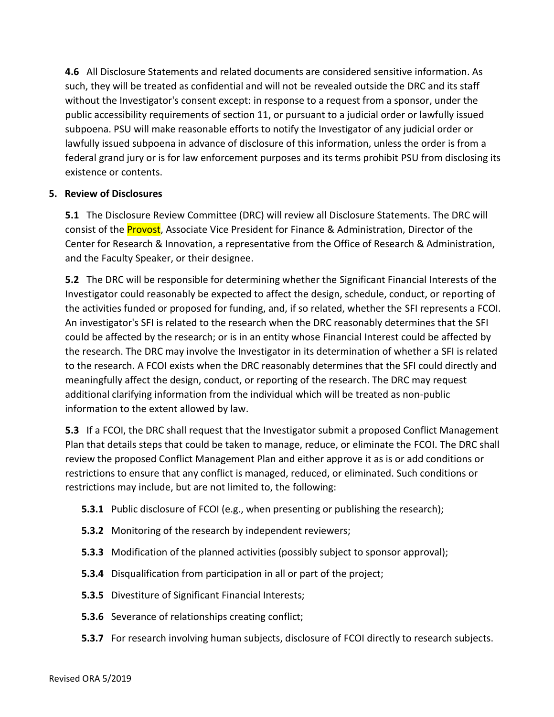**4.6** All Disclosure Statements and related documents are considered sensitive information. As such, they will be treated as confidential and will not be revealed outside the DRC and its staff without the Investigator's consent except: in response to a request from a sponsor, under the public accessibility requirements of section 11, or pursuant to a judicial order or lawfully issued subpoena. PSU will make reasonable efforts to notify the Investigator of any judicial order or lawfully issued subpoena in advance of disclosure of this information, unless the order is from a federal grand jury or is for law enforcement purposes and its terms prohibit PSU from disclosing its existence or contents.

#### **5. Review of Disclosures**

**5.1** The Disclosure Review Committee (DRC) will review all Disclosure Statements. The DRC will consist of the **Provost**, Associate Vice President for Finance & Administration, Director of the Center for Research & Innovation, a representative from the Office of Research & Administration, and the Faculty Speaker, or their designee.

**5.2** The DRC will be responsible for determining whether the Significant Financial Interests of the Investigator could reasonably be expected to affect the design, schedule, conduct, or reporting of the activities funded or proposed for funding, and, if so related, whether the SFI represents a FCOI. An investigator's SFI is related to the research when the DRC reasonably determines that the SFI could be affected by the research; or is in an entity whose Financial Interest could be affected by the research. The DRC may involve the Investigator in its determination of whether a SFI is related to the research. A FCOI exists when the DRC reasonably determines that the SFI could directly and meaningfully affect the design, conduct, or reporting of the research. The DRC may request additional clarifying information from the individual which will be treated as non-public information to the extent allowed by law.

**5.3** If a FCOI, the DRC shall request that the Investigator submit a proposed Conflict Management Plan that details steps that could be taken to manage, reduce, or eliminate the FCOI. The DRC shall review the proposed Conflict Management Plan and either approve it as is or add conditions or restrictions to ensure that any conflict is managed, reduced, or eliminated. Such conditions or restrictions may include, but are not limited to, the following:

- **5.3.1** Public disclosure of FCOI (e.g., when presenting or publishing the research);
- **5.3.2** Monitoring of the research by independent reviewers;
- **5.3.3** Modification of the planned activities (possibly subject to sponsor approval);
- **5.3.4** Disqualification from participation in all or part of the project;
- **5.3.5** Divestiture of Significant Financial Interests;
- **5.3.6** Severance of relationships creating conflict;
- **5.3.7** For research involving human subjects, disclosure of FCOI directly to research subjects.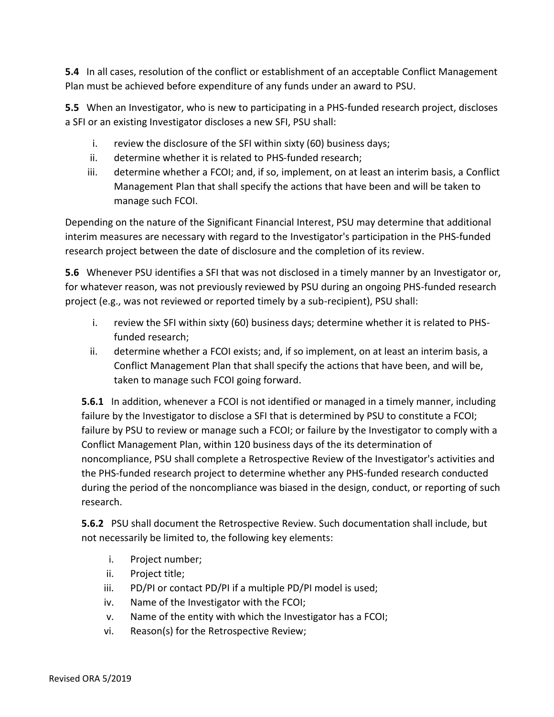**5.4** In all cases, resolution of the conflict or establishment of an acceptable Conflict Management Plan must be achieved before expenditure of any funds under an award to PSU.

**5.5** When an Investigator, who is new to participating in a PHS-funded research project, discloses a SFI or an existing Investigator discloses a new SFI, PSU shall:

- i. review the disclosure of the SFI within sixty (60) business days;
- ii. determine whether it is related to PHS-funded research;
- iii. determine whether a FCOI; and, if so, implement, on at least an interim basis, a Conflict Management Plan that shall specify the actions that have been and will be taken to manage such FCOI.

Depending on the nature of the Significant Financial Interest, PSU may determine that additional interim measures are necessary with regard to the Investigator's participation in the PHS-funded research project between the date of disclosure and the completion of its review.

**5.6** Whenever PSU identifies a SFI that was not disclosed in a timely manner by an Investigator or, for whatever reason, was not previously reviewed by PSU during an ongoing PHS-funded research project (e.g., was not reviewed or reported timely by a sub-recipient), PSU shall:

- i. review the SFI within sixty (60) business days; determine whether it is related to PHSfunded research;
- ii. determine whether a FCOI exists; and, if so implement, on at least an interim basis, a Conflict Management Plan that shall specify the actions that have been, and will be, taken to manage such FCOI going forward.

**5.6.1** In addition, whenever a FCOI is not identified or managed in a timely manner, including failure by the Investigator to disclose a SFI that is determined by PSU to constitute a FCOI; failure by PSU to review or manage such a FCOI; or failure by the Investigator to comply with a Conflict Management Plan, within 120 business days of the its determination of noncompliance, PSU shall complete a Retrospective Review of the Investigator's activities and the PHS-funded research project to determine whether any PHS-funded research conducted during the period of the noncompliance was biased in the design, conduct, or reporting of such research.

**5.6.2** PSU shall document the Retrospective Review. Such documentation shall include, but not necessarily be limited to, the following key elements:

- i. Project number;
- ii. Project title;
- iii. PD/PI or contact PD/PI if a multiple PD/PI model is used;
- iv. Name of the Investigator with the FCOI;
- v. Name of the entity with which the Investigator has a FCOI;
- vi. Reason(s) for the Retrospective Review;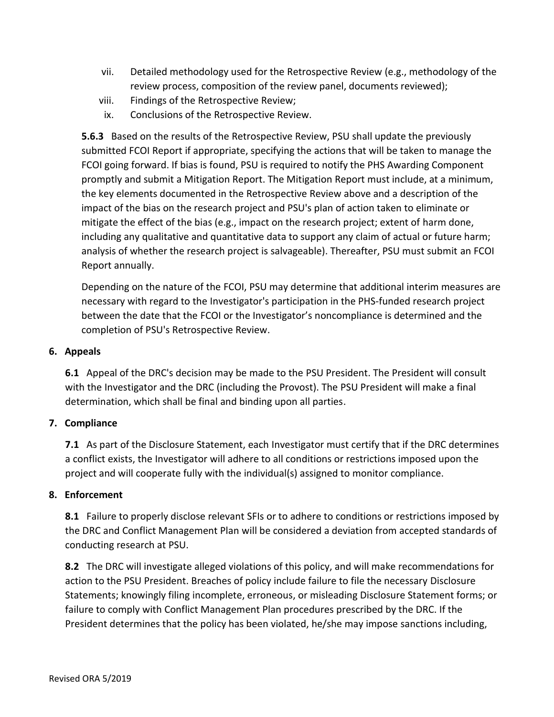- vii. Detailed methodology used for the Retrospective Review (e.g., methodology of the review process, composition of the review panel, documents reviewed);
- viii. Findings of the Retrospective Review;
- ix. Conclusions of the Retrospective Review.

**5.6.3** Based on the results of the Retrospective Review, PSU shall update the previously submitted FCOI Report if appropriate, specifying the actions that will be taken to manage the FCOI going forward. If bias is found, PSU is required to notify the PHS Awarding Component promptly and submit a Mitigation Report. The Mitigation Report must include, at a minimum, the key elements documented in the Retrospective Review above and a description of the impact of the bias on the research project and PSU's plan of action taken to eliminate or mitigate the effect of the bias (e.g., impact on the research project; extent of harm done, including any qualitative and quantitative data to support any claim of actual or future harm; analysis of whether the research project is salvageable). Thereafter, PSU must submit an FCOI Report annually.

Depending on the nature of the FCOI, PSU may determine that additional interim measures are necessary with regard to the Investigator's participation in the PHS-funded research project between the date that the FCOI or the Investigator's noncompliance is determined and the completion of PSU's Retrospective Review.

#### **6. Appeals**

**6.1** Appeal of the DRC's decision may be made to the PSU President. The President will consult with the Investigator and the DRC (including the Provost). The PSU President will make a final determination, which shall be final and binding upon all parties.

# **7. Compliance**

**7.1** As part of the Disclosure Statement, each Investigator must certify that if the DRC determines a conflict exists, the Investigator will adhere to all conditions or restrictions imposed upon the project and will cooperate fully with the individual(s) assigned to monitor compliance.

#### **8. Enforcement**

**8.1** Failure to properly disclose relevant SFIs or to adhere to conditions or restrictions imposed by the DRC and Conflict Management Plan will be considered a deviation from accepted standards of conducting research at PSU.

**8.2** The DRC will investigate alleged violations of this policy, and will make recommendations for action to the PSU President. Breaches of policy include failure to file the necessary Disclosure Statements; knowingly filing incomplete, erroneous, or misleading Disclosure Statement forms; or failure to comply with Conflict Management Plan procedures prescribed by the DRC. If the President determines that the policy has been violated, he/she may impose sanctions including,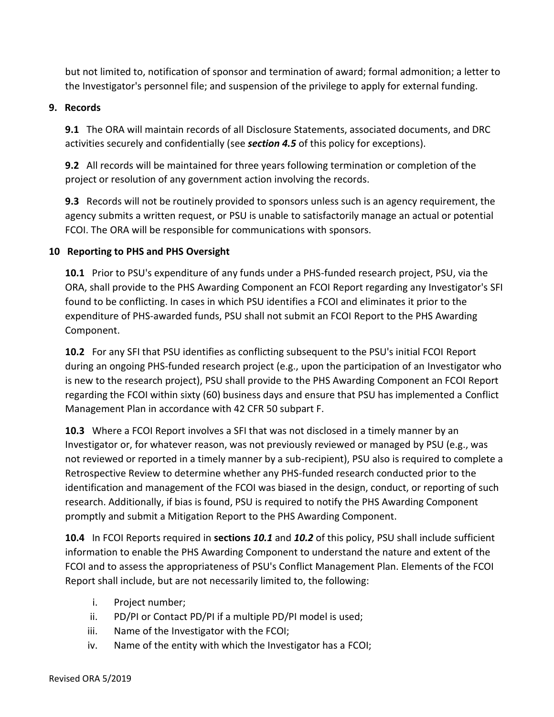but not limited to, notification of sponsor and termination of award; formal admonition; a letter to the Investigator's personnel file; and suspension of the privilege to apply for external funding.

#### **9. Records**

**9.1** The ORA will maintain records of all Disclosure Statements, associated documents, and DRC activities securely and confidentially (see *section 4.5* of this policy for exceptions).

**9.2** All records will be maintained for three years following termination or completion of the project or resolution of any government action involving the records.

**9.3** Records will not be routinely provided to sponsors unless such is an agency requirement, the agency submits a written request, or PSU is unable to satisfactorily manage an actual or potential FCOI. The ORA will be responsible for communications with sponsors.

# **10 Reporting to PHS and PHS Oversight**

**10.1** Prior to PSU's expenditure of any funds under a PHS-funded research project, PSU, via the ORA, shall provide to the PHS Awarding Component an FCOI Report regarding any Investigator's SFI found to be conflicting. In cases in which PSU identifies a FCOI and eliminates it prior to the expenditure of PHS-awarded funds, PSU shall not submit an FCOI Report to the PHS Awarding Component.

**10.2** For any SFI that PSU identifies as conflicting subsequent to the PSU's initial FCOI Report during an ongoing PHS-funded research project (e.g., upon the participation of an Investigator who is new to the research project), PSU shall provide to the PHS Awarding Component an FCOI Report regarding the FCOI within sixty (60) business days and ensure that PSU has implemented a Conflict Management Plan in accordance with 42 CFR 50 subpart F.

**10.3** Where a FCOI Report involves a SFI that was not disclosed in a timely manner by an Investigator or, for whatever reason, was not previously reviewed or managed by PSU (e.g., was not reviewed or reported in a timely manner by a sub-recipient), PSU also is required to complete a Retrospective Review to determine whether any PHS-funded research conducted prior to the identification and management of the FCOI was biased in the design, conduct, or reporting of such research. Additionally, if bias is found, PSU is required to notify the PHS Awarding Component promptly and submit a Mitigation Report to the PHS Awarding Component.

**10.4** In FCOI Reports required in **sections** *10.1* and *10.2* of this policy, PSU shall include sufficient information to enable the PHS Awarding Component to understand the nature and extent of the FCOI and to assess the appropriateness of PSU's Conflict Management Plan. Elements of the FCOI Report shall include, but are not necessarily limited to, the following:

- i. Project number;
- ii. PD/PI or Contact PD/PI if a multiple PD/PI model is used;
- iii. Name of the Investigator with the FCOI;
- iv. Name of the entity with which the Investigator has a FCOI;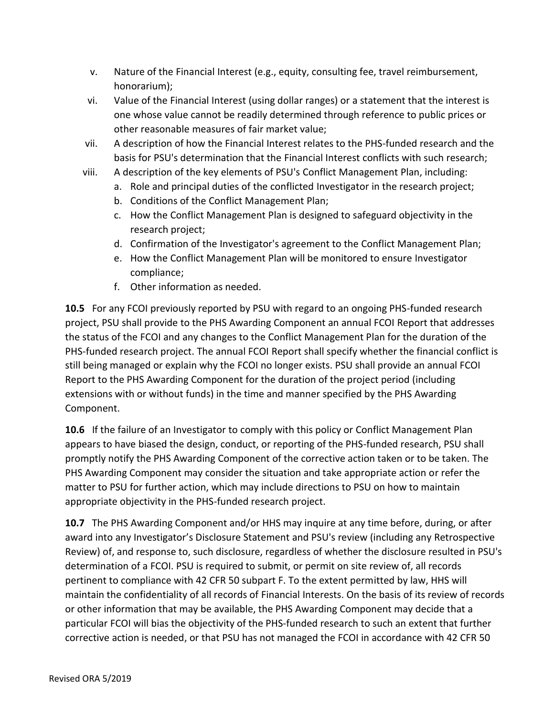- v. Nature of the Financial Interest (e.g., equity, consulting fee, travel reimbursement, honorarium);
- vi. Value of the Financial Interest (using dollar ranges) or a statement that the interest is one whose value cannot be readily determined through reference to public prices or other reasonable measures of fair market value;
- vii. A description of how the Financial Interest relates to the PHS-funded research and the basis for PSU's determination that the Financial Interest conflicts with such research;
- viii. A description of the key elements of PSU's Conflict Management Plan, including:
	- a. Role and principal duties of the conflicted Investigator in the research project;
	- b. Conditions of the Conflict Management Plan;
	- c. How the Conflict Management Plan is designed to safeguard objectivity in the research project;
	- d. Confirmation of the Investigator's agreement to the Conflict Management Plan;
	- e. How the Conflict Management Plan will be monitored to ensure Investigator compliance;
	- f. Other information as needed.

**10.5** For any FCOI previously reported by PSU with regard to an ongoing PHS-funded research project, PSU shall provide to the PHS Awarding Component an annual FCOI Report that addresses the status of the FCOI and any changes to the Conflict Management Plan for the duration of the PHS-funded research project. The annual FCOI Report shall specify whether the financial conflict is still being managed or explain why the FCOI no longer exists. PSU shall provide an annual FCOI Report to the PHS Awarding Component for the duration of the project period (including extensions with or without funds) in the time and manner specified by the PHS Awarding Component.

**10.6** If the failure of an Investigator to comply with this policy or Conflict Management Plan appears to have biased the design, conduct, or reporting of the PHS-funded research, PSU shall promptly notify the PHS Awarding Component of the corrective action taken or to be taken. The PHS Awarding Component may consider the situation and take appropriate action or refer the matter to PSU for further action, which may include directions to PSU on how to maintain appropriate objectivity in the PHS-funded research project.

**10.7** The PHS Awarding Component and/or HHS may inquire at any time before, during, or after award into any Investigator's Disclosure Statement and PSU's review (including any Retrospective Review) of, and response to, such disclosure, regardless of whether the disclosure resulted in PSU's determination of a FCOI. PSU is required to submit, or permit on site review of, all records pertinent to compliance with 42 CFR 50 subpart F. To the extent permitted by law, HHS will maintain the confidentiality of all records of Financial Interests. On the basis of its review of records or other information that may be available, the PHS Awarding Component may decide that a particular FCOI will bias the objectivity of the PHS-funded research to such an extent that further corrective action is needed, or that PSU has not managed the FCOI in accordance with 42 CFR 50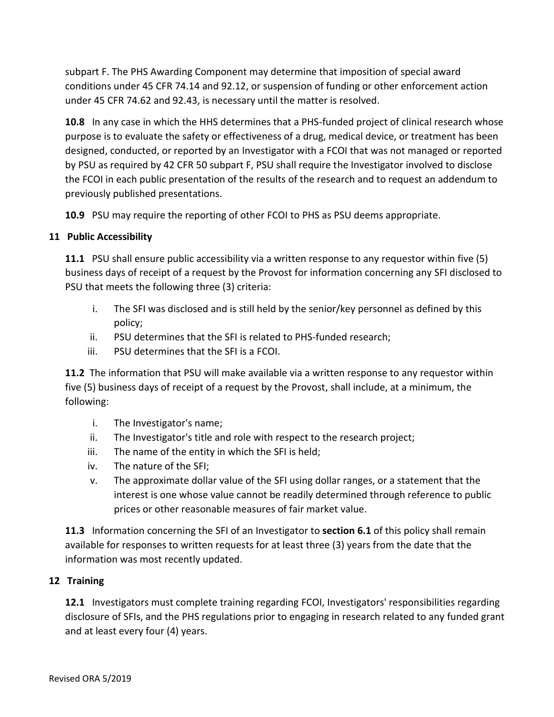subpart F. The PHS Awarding Component may determine that imposition of special award conditions under 45 CFR 74.14 and 92.12, or suspension of funding or other enforcement action under 45 CFR 74.62 and 92.43, is necessary until the matter is resolved.

**10.8** In any case in which the HHS determines that a PHS-funded project of clinical research whose purpose is to evaluate the safety or effectiveness of a drug, medical device, or treatment has been designed, conducted, or reported by an Investigator with a FCOI that was not managed or reported by PSU as required by 42 CFR 50 subpart F, PSU shall require the Investigator involved to disclose the FCOI in each public presentation of the results of the research and to request an addendum to previously published presentations.

**10.9** PSU may require the reporting of other FCOI to PHS as PSU deems appropriate.

# **11 Public Accessibility**

**11.1** PSU shall ensure public accessibility via a written response to any requestor within five (5) business days of receipt of a request by the Provost for information concerning any SFI disclosed to PSU that meets the following three (3) criteria:

- i. The SFI was disclosed and is still held by the senior/key personnel as defined by this policy;
- ii. PSU determines that the SFI is related to PHS-funded research;
- iii. PSU determines that the SFI is a FCOI.

**11.2** The information that PSU will make available via a written response to any requestor within five (5) business days of receipt of a request by the Provost, shall include, at a minimum, the following:

- i. The Investigator's name;
- ii. The Investigator's title and role with respect to the research project;
- iii. The name of the entity in which the SFI is held;
- iv. The nature of the SFI;
- v. The approximate dollar value of the SFI using dollar ranges, or a statement that the interest is one whose value cannot be readily determined through reference to public prices or other reasonable measures of fair market value.

**11.3** Information concerning the SFI of an Investigator to **section 6.1** of this policy shall remain available for responses to written requests for at least three (3) years from the date that the information was most recently updated.

# **12 Training**

**12.1** Investigators must complete training regarding FCOI, Investigators' responsibilities regarding disclosure of SFIs, and the PHS regulations prior to engaging in research related to any funded grant and at least every four (4) years.